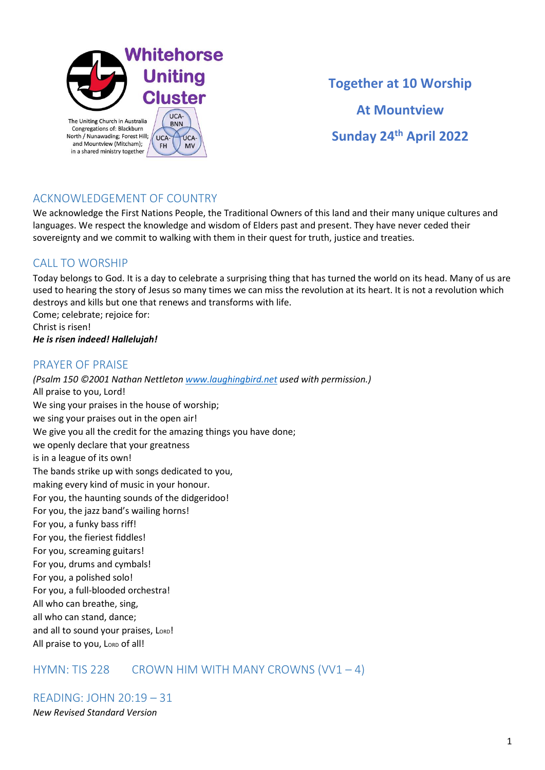

**Together at 10 Worship At Mountview Sunday 24th April 2022**

# ACKNOWLEDGEMENT OF COUNTRY

We acknowledge the First Nations People, the Traditional Owners of this land and their many unique cultures and languages. We respect the knowledge and wisdom of Elders past and present. They have never ceded their sovereignty and we commit to walking with them in their quest for truth, justice and treaties.

## CALL TO WORSHIP

Today belongs to God. It is a day to celebrate a surprising thing that has turned the world on its head. Many of us are used to hearing the story of Jesus so many times we can miss the revolution at its heart. It is not a revolution which destroys and kills but one that renews and transforms with life. Come; celebrate; rejoice for:

Christ is risen! *He is risen indeed! Hallelujah!*

## PRAYER OF PRAISE

*(Psalm 150 ©2001 Nathan Nettleto[n www.laughingbird.net](http://www.laughingbird.net/) used with permission.)* All praise to you, Lord! We sing your praises in the house of worship; we sing your praises out in the open air! We give you all the credit for the amazing things you have done; we openly declare that your greatness is in a league of its own! The bands strike up with songs dedicated to you, making every kind of music in your honour. For you, the haunting sounds of the didgeridoo! For you, the jazz band's wailing horns! For you, a funky bass riff! For you, the fieriest fiddles! For you, screaming guitars! For you, drums and cymbals! For you, a polished solo! For you, a full-blooded orchestra! All who can breathe, sing, all who can stand, dance; and all to sound your praises, LORD! All praise to you, LORD of all!

## HYMN: TIS 228 CROWN HIM WITH MANY CROWNS  $(VV1 - 4)$

READING: JOHN 20:19 – 31 *New Revised Standard Version*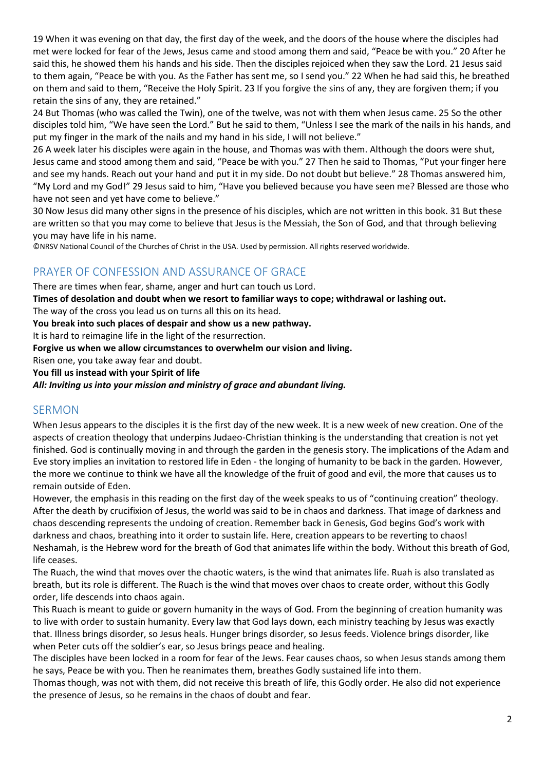19 When it was evening on that day, the first day of the week, and the doors of the house where the disciples had met were locked for fear of the Jews, Jesus came and stood among them and said, "Peace be with you." 20 After he said this, he showed them his hands and his side. Then the disciples rejoiced when they saw the Lord. 21 Jesus said to them again, "Peace be with you. As the Father has sent me, so I send you." 22 When he had said this, he breathed on them and said to them, "Receive the Holy Spirit. 23 If you forgive the sins of any, they are forgiven them; if you retain the sins of any, they are retained."

24 But Thomas (who was called the Twin), one of the twelve, was not with them when Jesus came. 25 So the other disciples told him, "We have seen the Lord." But he said to them, "Unless I see the mark of the nails in his hands, and put my finger in the mark of the nails and my hand in his side, I will not believe."

26 A week later his disciples were again in the house, and Thomas was with them. Although the doors were shut, Jesus came and stood among them and said, "Peace be with you." 27 Then he said to Thomas, "Put your finger here and see my hands. Reach out your hand and put it in my side. Do not doubt but believe." 28 Thomas answered him, "My Lord and my God!" 29 Jesus said to him, "Have you believed because you have seen me? Blessed are those who have not seen and yet have come to believe."

30 Now Jesus did many other signs in the presence of his disciples, which are not written in this book. 31 But these are written so that you may come to believe that Jesus is the Messiah, the Son of God, and that through believing you may have life in his name.

©NRSV National Council of the Churches of Christ in the USA. Used by permission. All rights reserved worldwide.

# PRAYER OF CONFESSION AND ASSURANCE OF GRACE

There are times when fear, shame, anger and hurt can touch us Lord.

**Times of desolation and doubt when we resort to familiar ways to cope; withdrawal or lashing out.**

The way of the cross you lead us on turns all this on its head.

**You break into such places of despair and show us a new pathway.**

It is hard to reimagine life in the light of the resurrection.

**Forgive us when we allow circumstances to overwhelm our vision and living.**

Risen one, you take away fear and doubt.

**You fill us instead with your Spirit of life**

*All: Inviting us into your mission and ministry of grace and abundant living.*

#### SERMON

When Jesus appears to the disciples it is the first day of the new week. It is a new week of new creation. One of the aspects of creation theology that underpins Judaeo-Christian thinking is the understanding that creation is not yet finished. God is continually moving in and through the garden in the genesis story. The implications of the Adam and Eve story implies an invitation to restored life in Eden - the longing of humanity to be back in the garden. However, the more we continue to think we have all the knowledge of the fruit of good and evil, the more that causes us to remain outside of Eden.

However, the emphasis in this reading on the first day of the week speaks to us of "continuing creation" theology. After the death by crucifixion of Jesus, the world was said to be in chaos and darkness. That image of darkness and chaos descending represents the undoing of creation. Remember back in Genesis, God begins God's work with darkness and chaos, breathing into it order to sustain life. Here, creation appears to be reverting to chaos! Neshamah, is the Hebrew word for the breath of God that animates life within the body. Without this breath of God, life ceases.

The Ruach, the wind that moves over the chaotic waters, is the wind that animates life. Ruah is also translated as breath, but its role is different. The Ruach is the wind that moves over chaos to create order, without this Godly order, life descends into chaos again.

This Ruach is meant to guide or govern humanity in the ways of God. From the beginning of creation humanity was to live with order to sustain humanity. Every law that God lays down, each ministry teaching by Jesus was exactly that. Illness brings disorder, so Jesus heals. Hunger brings disorder, so Jesus feeds. Violence brings disorder, like when Peter cuts off the soldier's ear, so Jesus brings peace and healing.

The disciples have been locked in a room for fear of the Jews. Fear causes chaos, so when Jesus stands among them he says, Peace be with you. Then he reanimates them, breathes Godly sustained life into them.

Thomas though, was not with them, did not receive this breath of life, this Godly order. He also did not experience the presence of Jesus, so he remains in the chaos of doubt and fear.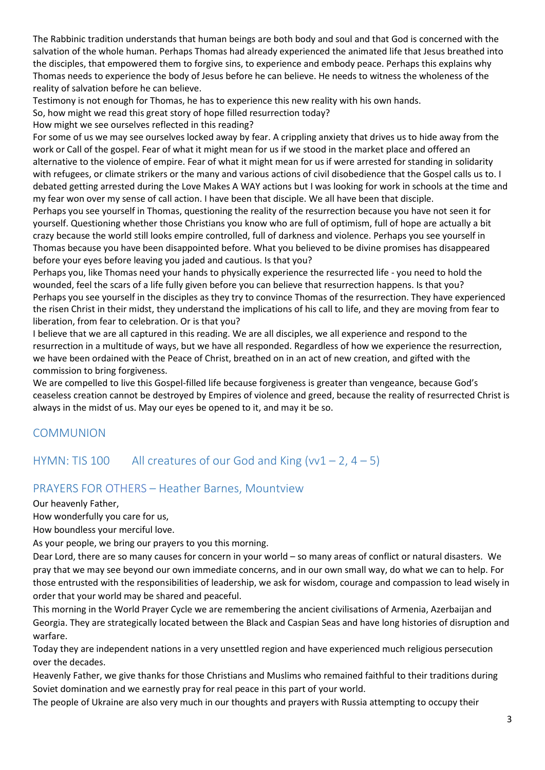The Rabbinic tradition understands that human beings are both body and soul and that God is concerned with the salvation of the whole human. Perhaps Thomas had already experienced the animated life that Jesus breathed into the disciples, that empowered them to forgive sins, to experience and embody peace. Perhaps this explains why Thomas needs to experience the body of Jesus before he can believe. He needs to witness the wholeness of the reality of salvation before he can believe.

Testimony is not enough for Thomas, he has to experience this new reality with his own hands.

So, how might we read this great story of hope filled resurrection today?

How might we see ourselves reflected in this reading?

For some of us we may see ourselves locked away by fear. A crippling anxiety that drives us to hide away from the work or Call of the gospel. Fear of what it might mean for us if we stood in the market place and offered an alternative to the violence of empire. Fear of what it might mean for us if were arrested for standing in solidarity with refugees, or climate strikers or the many and various actions of civil disobedience that the Gospel calls us to. I debated getting arrested during the Love Makes A WAY actions but I was looking for work in schools at the time and my fear won over my sense of call action. I have been that disciple. We all have been that disciple.

Perhaps you see yourself in Thomas, questioning the reality of the resurrection because you have not seen it for yourself. Questioning whether those Christians you know who are full of optimism, full of hope are actually a bit crazy because the world still looks empire controlled, full of darkness and violence. Perhaps you see yourself in Thomas because you have been disappointed before. What you believed to be divine promises has disappeared before your eyes before leaving you jaded and cautious. Is that you?

Perhaps you, like Thomas need your hands to physically experience the resurrected life - you need to hold the wounded, feel the scars of a life fully given before you can believe that resurrection happens. Is that you? Perhaps you see yourself in the disciples as they try to convince Thomas of the resurrection. They have experienced the risen Christ in their midst, they understand the implications of his call to life, and they are moving from fear to liberation, from fear to celebration. Or is that you?

I believe that we are all captured in this reading. We are all disciples, we all experience and respond to the resurrection in a multitude of ways, but we have all responded. Regardless of how we experience the resurrection, we have been ordained with the Peace of Christ, breathed on in an act of new creation, and gifted with the commission to bring forgiveness.

We are compelled to live this Gospel-filled life because forgiveness is greater than vengeance, because God's ceaseless creation cannot be destroyed by Empires of violence and greed, because the reality of resurrected Christ is always in the midst of us. May our eyes be opened to it, and may it be so.

## COMMUNION

# HYMN: TIS 100 All creatures of our God and King  $(vv1 - 2, 4 - 5)$

## PRAYERS FOR OTHERS – Heather Barnes, Mountview

Our heavenly Father,

How wonderfully you care for us,

How boundless your merciful love.

As your people, we bring our prayers to you this morning.

Dear Lord, there are so many causes for concern in your world – so many areas of conflict or natural disasters. We pray that we may see beyond our own immediate concerns, and in our own small way, do what we can to help. For those entrusted with the responsibilities of leadership, we ask for wisdom, courage and compassion to lead wisely in order that your world may be shared and peaceful.

This morning in the World Prayer Cycle we are remembering the ancient civilisations of Armenia, Azerbaijan and Georgia. They are strategically located between the Black and Caspian Seas and have long histories of disruption and warfare.

Today they are independent nations in a very unsettled region and have experienced much religious persecution over the decades.

Heavenly Father, we give thanks for those Christians and Muslims who remained faithful to their traditions during Soviet domination and we earnestly pray for real peace in this part of your world.

The people of Ukraine are also very much in our thoughts and prayers with Russia attempting to occupy their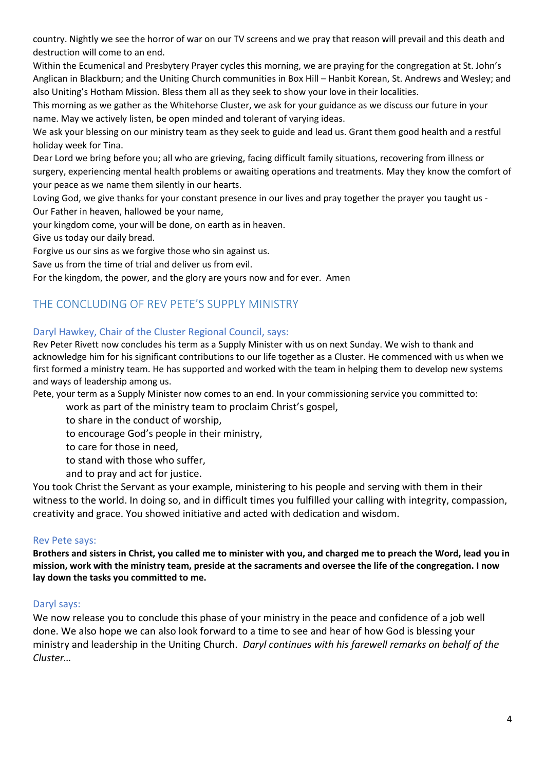country. Nightly we see the horror of war on our TV screens and we pray that reason will prevail and this death and destruction will come to an end.

Within the Ecumenical and Presbytery Prayer cycles this morning, we are praying for the congregation at St. John's Anglican in Blackburn; and the Uniting Church communities in Box Hill – Hanbit Korean, St. Andrews and Wesley; and also Uniting's Hotham Mission. Bless them all as they seek to show your love in their localities.

This morning as we gather as the Whitehorse Cluster, we ask for your guidance as we discuss our future in your name. May we actively listen, be open minded and tolerant of varying ideas.

We ask your blessing on our ministry team as they seek to guide and lead us. Grant them good health and a restful holiday week for Tina.

Dear Lord we bring before you; all who are grieving, facing difficult family situations, recovering from illness or surgery, experiencing mental health problems or awaiting operations and treatments. May they know the comfort of your peace as we name them silently in our hearts.

Loving God, we give thanks for your constant presence in our lives and pray together the prayer you taught us - Our Father in heaven, hallowed be your name,

your kingdom come, your will be done, on earth as in heaven.

Give us today our daily bread.

Forgive us our sins as we forgive those who sin against us.

Save us from the time of trial and deliver us from evil.

For the kingdom, the power, and the glory are yours now and for ever. Amen

## THE CONCLUDING OF REV PETE'S SUPPLY MINISTRY

#### Daryl Hawkey, Chair of the Cluster Regional Council, says:

Rev Peter Rivett now concludes his term as a Supply Minister with us on next Sunday. We wish to thank and acknowledge him for his significant contributions to our life together as a Cluster. He commenced with us when we first formed a ministry team. He has supported and worked with the team in helping them to develop new systems and ways of leadership among us.

Pete, your term as a Supply Minister now comes to an end. In your commissioning service you committed to:

work as part of the ministry team to proclaim Christ's gospel,

to share in the conduct of worship,

to encourage God's people in their ministry,

to care for those in need,

to stand with those who suffer,

and to pray and act for justice.

You took Christ the Servant as your example, ministering to his people and serving with them in their witness to the world. In doing so, and in difficult times you fulfilled your calling with integrity, compassion, creativity and grace. You showed initiative and acted with dedication and wisdom.

#### Rev Pete says:

**Brothers and sisters in Christ, you called me to minister with you, and charged me to preach the Word, lead you in mission, work with the ministry team, preside at the sacraments and oversee the life of the congregation. I now lay down the tasks you committed to me.**

#### Daryl says:

We now release you to conclude this phase of your ministry in the peace and confidence of a job well done. We also hope we can also look forward to a time to see and hear of how God is blessing your ministry and leadership in the Uniting Church. *Daryl continues with his farewell remarks on behalf of the Cluster…*